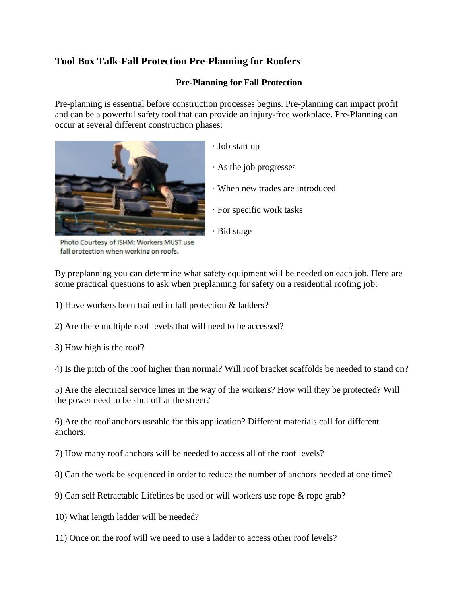## **Tool Box Talk-Fall Protection Pre-Planning for Roofers**

## **Pre-Planning for Fall Protection**

Pre-planning is essential before construction processes begins. Pre-planning can impact profit and can be a powerful safety tool that can provide an injury-free workplace. Pre-Planning can occur at several different construction phases:



- · Job start up
- · As the job progresses
- · When new trades are introduced
- · For specific work tasks
- · Bid stage

Photo Courtesy of ISHM: Workers MUST use fall protection when working on roofs.

By preplanning you can determine what safety equipment will be needed on each job. Here are some practical questions to ask when preplanning for safety on a residential roofing job:

1) Have workers been trained in fall protection & ladders?

2) Are there multiple roof levels that will need to be accessed?

3) How high is the roof?

4) Is the pitch of the roof higher than normal? Will roof bracket scaffolds be needed to stand on?

5) Are the electrical service lines in the way of the workers? How will they be protected? Will the power need to be shut off at the street?

6) Are the roof anchors useable for this application? Different materials call for different anchors.

7) How many roof anchors will be needed to access all of the roof levels?

8) Can the work be sequenced in order to reduce the number of anchors needed at one time?

- 9) Can self Retractable Lifelines be used or will workers use rope & rope grab?
- 10) What length ladder will be needed?
- 11) Once on the roof will we need to use a ladder to access other roof levels?